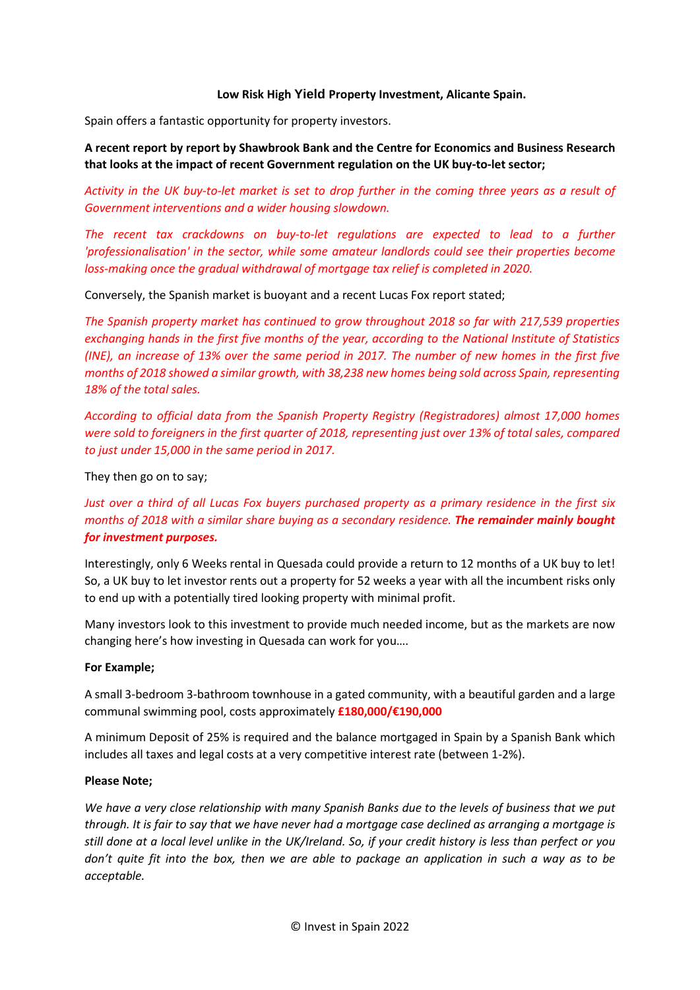### Low Risk High **Yield** Property Investment, Alicante Spain.

Spain offers a fantastic opportunity for property investors.

# A recent report by report by Shawbrook Bank and the Centre for Economics and Business Research that looks at the impact of recent Government regulation on the UK buy-to-let sector;

Activity in the UK buy-to-let market is set to drop further in the coming three years as a result of Government interventions and a wider housing slowdown.

The recent tax crackdowns on buy-to-let regulations are expected to lead to a further 'professionalisation' in the sector, while some amateur landlords could see their properties become loss-making once the gradual withdrawal of mortgage tax relief is completed in 2020.

Conversely, the Spanish market is buoyant and a recent Lucas Fox report stated;

The Spanish property market has continued to grow throughout 2018 so far with 217,539 properties exchanging hands in the first five months of the year, according to the National Institute of Statistics (INE), an increase of 13% over the same period in 2017. The number of new homes in the first five months of 2018 showed a similar growth, with 38,238 new homes being sold across Spain, representing 18% of the total sales.

According to official data from the Spanish Property Registry (Registradores) almost 17,000 homes were sold to foreigners in the first quarter of 2018, representing just over 13% of total sales, compared to just under 15,000 in the same period in 2017.

They then go on to say;

Just over a third of all Lucas Fox buyers purchased property as a primary residence in the first six months of 2018 with a similar share buying as a secondary residence. The remainder mainly bought for investment purposes.

Interestingly, only 6 Weeks rental in Quesada could provide a return to 12 months of a UK buy to let! So, a UK buy to let investor rents out a property for 52 weeks a year with all the incumbent risks only to end up with a potentially tired looking property with minimal profit.

Many investors look to this investment to provide much needed income, but as the markets are now changing here's how investing in Quesada can work for you….

### For Example;

A small 3-bedroom 3-bathroom townhouse in a gated community, with a beautiful garden and a large communal swimming pool, costs approximately £180,000/€190,000

A minimum Deposit of 25% is required and the balance mortgaged in Spain by a Spanish Bank which includes all taxes and legal costs at a very competitive interest rate (between 1-2%).

### Please Note;

We have a very close relationship with many Spanish Banks due to the levels of business that we put through. It is fair to say that we have never had a mortgage case declined as arranging a mortgage is still done at a local level unlike in the UK/Ireland. So, if your credit history is less than perfect or you don't quite fit into the box, then we are able to package an application in such a way as to be acceptable.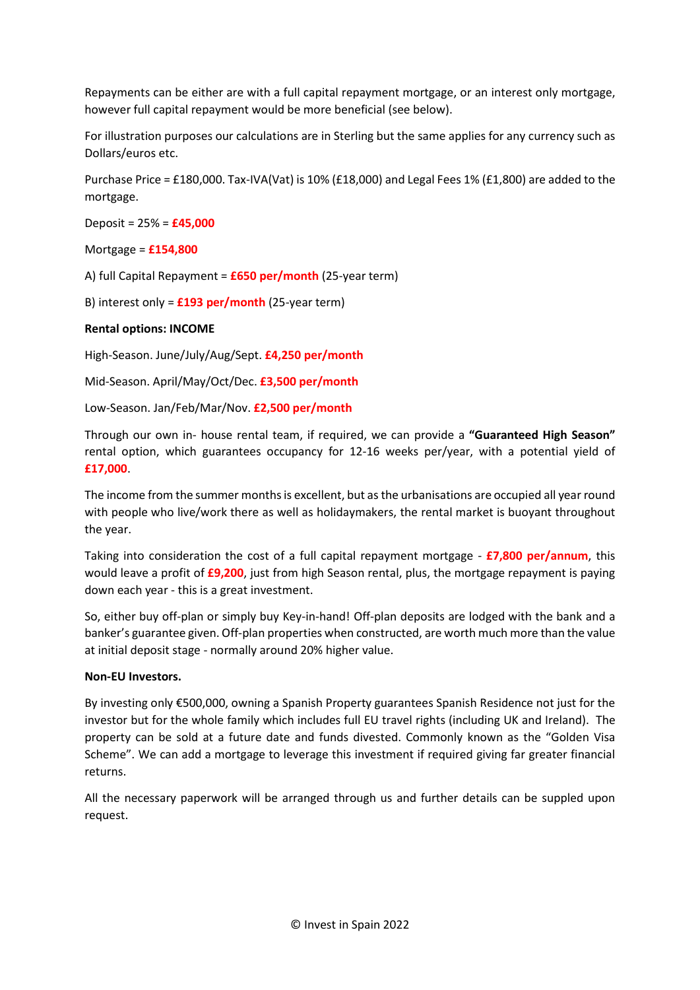Repayments can be either are with a full capital repayment mortgage, or an interest only mortgage, however full capital repayment would be more beneficial (see below).

For illustration purposes our calculations are in Sterling but the same applies for any currency such as Dollars/euros etc.

Purchase Price = £180,000. Tax-IVA(Vat) is 10% (£18,000) and Legal Fees 1% (£1,800) are added to the mortgage.

Deposit = 25% = £45,000

Mortgage = £154,800

A) full Capital Repayment =  $£650$  per/month (25-year term)

B) interest only =  $£193$  per/month (25-year term)

## Rental options: INCOME

High-Season. June/July/Aug/Sept. £4,250 per/month

Mid-Season. April/May/Oct/Dec. £3,500 per/month

Low-Season. Jan/Feb/Mar/Nov. £2,500 per/month

Through our own in- house rental team, if required, we can provide a "Guaranteed High Season" rental option, which guarantees occupancy for 12-16 weeks per/year, with a potential yield of £17,000.

The income from the summer months is excellent, but as the urbanisations are occupied all year round with people who live/work there as well as holidaymakers, the rental market is buoyant throughout the year.

Taking into consideration the cost of a full capital repayment mortgage  $\overline{F}$  =  $\overline{F}$ ,  $\overline{F}$  =  $\overline{F}$  =  $\overline{F}$ would leave a profit of **£9,200**, just from high Season rental, plus, the mortgage repayment is paying down each year - this is a great investment.

So, either buy off-plan or simply buy Key-in-hand! Off-plan deposits are lodged with the bank and a banker's guarantee given. Off-plan properties when constructed, are worth much more than the value at initial deposit stage - normally around 20% higher value.

### Non-EU Investors.

By investing only €500,000, owning a Spanish Property guarantees Spanish Residence not just for the investor but for the whole family which includes full EU travel rights (including UK and Ireland). The property can be sold at a future date and funds divested. Commonly known as the "Golden Visa Scheme". We can add a mortgage to leverage this investment if required giving far greater financial returns.

All the necessary paperwork will be arranged through us and further details can be suppled upon request.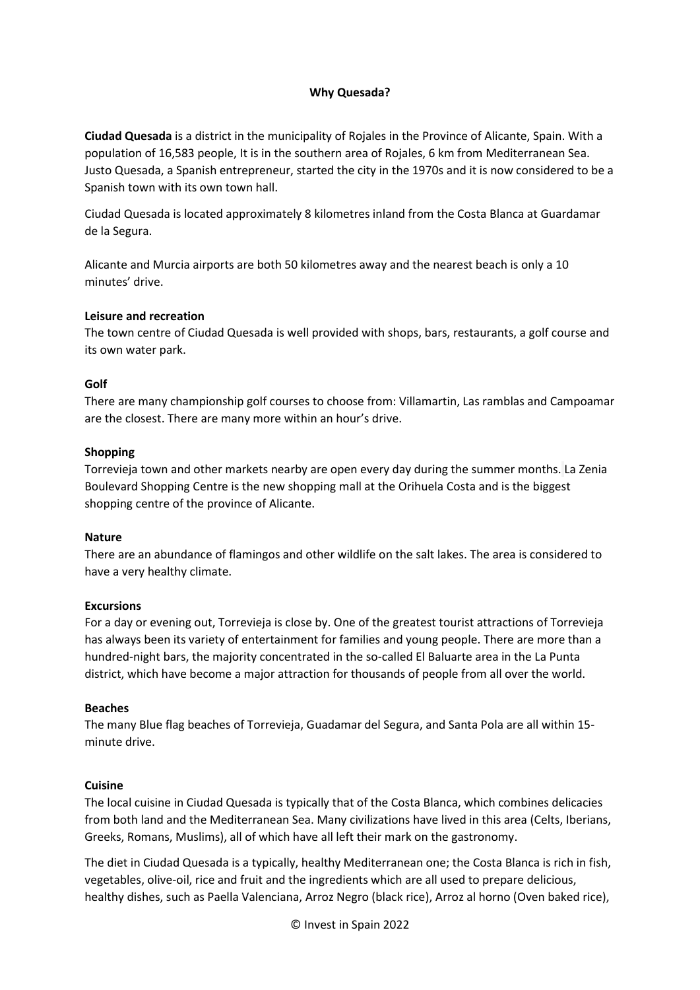## Why Quesada?

Ciudad Quesada is a district in the municipality of Rojales in the Province of Alicante, Spain. With a population of 16,583 people, It is in the southern area of Rojales, 6 km from Mediterranean Sea. Justo Quesada, a Spanish entrepreneur, started the city in the 1970s and it is now considered to be a Spanish town with its own town hall.

Ciudad Quesada is located approximately 8 kilometres inland from the Costa Blanca at Guardamar de la Segura.

Alicante and Murcia airports are both 50 kilometres away and the nearest beach is only a 10 minutes' drive.

#### Leisure and recreation

The town centre of Ciudad Quesada is well provided with shops, bars, restaurants, a golf course and its own water park.

### Golf

There are many championship golf courses to choose from: Villamartin, Las ramblas and Campoamar are the closest. There are many more within an hour's drive.

#### Shopping

Torrevieja town and other markets nearby are open every day during the summer months. La Zenia Boulevard Shopping Centre is the new shopping mall at the Orihuela Costa and is the biggest shopping centre of the province of Alicante.

### Nature

There are an abundance of flamingos and other wildlife on the salt lakes. The area is considered to have a very healthy climate.

### Excursions

For a day or evening out, Torrevieja is close by. One of the greatest tourist attractions of Torrevieja has always been its variety of entertainment for families and young people. There are more than a hundred-night bars, the majority concentrated in the so-called El Baluarte area in the La Punta district, which have become a major attraction for thousands of people from all over the world.

#### Beaches

The many Blue flag beaches of Torrevieja, Guadamar del Segura, and Santa Pola are all within 15 minute drive.

### **Cuisine**

The local cuisine in Ciudad Quesada is typically that of the Costa Blanca, which combines delicacies from both land and the Mediterranean Sea. Many civilizations have lived in this area (Celts, Iberians, Greeks, Romans, Muslims), all of which have all left their mark on the gastronomy.

The diet in Ciudad Quesada is a typically, healthy Mediterranean one; the Costa Blanca is rich in fish, vegetables, olive-oil, rice and fruit and the ingredients which are all used to prepare delicious, healthy dishes, such as Paella Valenciana, Arroz Negro (black rice), Arroz al horno (Oven baked rice),